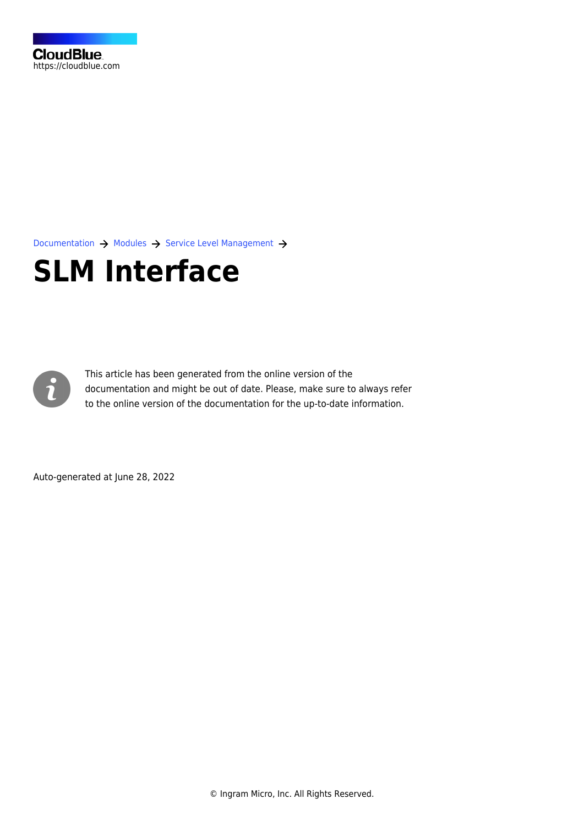[Documentation](https://connect.cloudblue.com/documentation)  $\rightarrow$  [Modules](https://connect.cloudblue.com/community/modules/)  $\rightarrow$  [Service Level Management](https://connect.cloudblue.com/community/modules/service-level-management/)  $\rightarrow$ 

# **[SLM Interface](https://connect.cloudblue.com/community/modules/service-level-management/user-interface/)**



This article has been generated from the online version of the documentation and might be out of date. Please, make sure to always refer to the online version of the documentation for the up-to-date information.

Auto-generated at June 28, 2022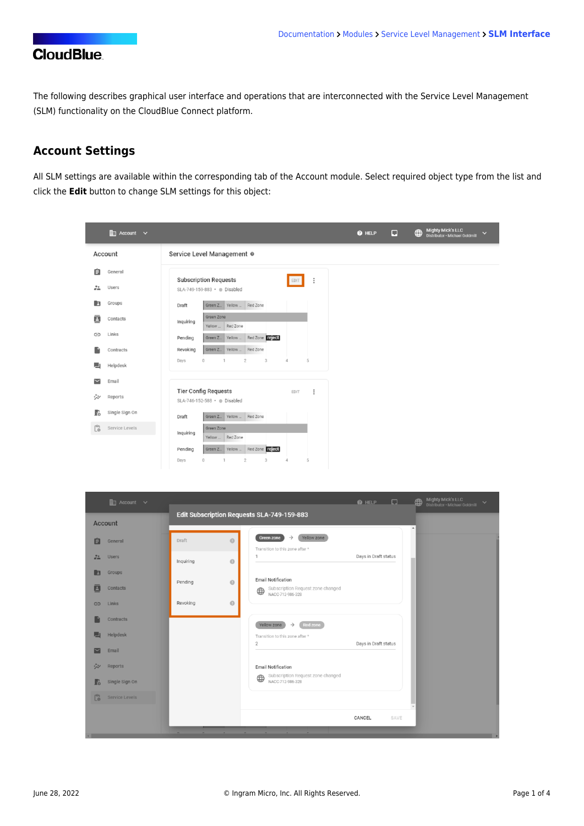The following describes graphical user interface and operations that are interconnected with the Service Level Management (SLM) functionality on the CloudBlue Connect platform.

### **Account Settings**

All SLM settings are available within the corresponding tab of the Account module. Select required object type from the list and click the **Edit** button to change SLM settings for this object:

| $\frac{1}{2}$ Account $\vee$      |                                                                                  | <b>Mighty Mick's LLC</b><br>$\bigoplus$<br>$\Box$<br>@ HELP<br>Distributor . Michael Goldmill |
|-----------------------------------|----------------------------------------------------------------------------------|-----------------------------------------------------------------------------------------------|
| Account                           | Service Level Management @                                                       |                                                                                               |
| 自<br>General                      | <b>Subscription Requests</b><br>$\vdots$<br>EDIT                                 |                                                                                               |
| $\frac{24}{100}$<br><b>Users</b>  | SLA-749-159-883 · Disabled                                                       |                                                                                               |
| Groups<br>E                       | Green Z <sub>-</sub> Yellow  Red Zone<br>Draft                                   |                                                                                               |
| ē<br>Contacts                     | Green Zone<br>Inquiring<br>Red Zone<br>Yellow                                    |                                                                                               |
| Links<br>⊕                        | Red Zone reject<br>Green Z <sub>__</sub> Yellow<br>Pending                       |                                                                                               |
| Contracts                         | Red Zone<br>Green Z_<br>Yellow<br>Revoking                                       |                                                                                               |
| Helpdesk<br>드                     | $\,0\,$<br>5<br>$\overline{2}$<br>$\sqrt{3}$<br>$\Delta$<br>Days<br>$\mathbf{1}$ |                                                                                               |
| $\overline{\phantom{0}}$<br>Email |                                                                                  |                                                                                               |
| ₩<br>Reports                      | <b>Tier Config Requests</b><br>÷<br><b>EDIT</b><br>SLA-746-152-588 · Disabled    |                                                                                               |
| Ŀ<br>Single Sign On               | Green Z_ Yellow  Red Zone<br>Draft                                               |                                                                                               |
| $\mathbb{P}^n$<br>Service Levels  | Green Zone<br>Inquiring<br>Red Zone<br>Yellow                                    |                                                                                               |
|                                   | Red Zone reject<br>Pending<br>Green Z_<br>Yellow                                 |                                                                                               |
|                                   | $\overline{2}$<br>3<br>5<br>Days<br>$\circ$<br>$\mathbf{1}$<br>4                 |                                                                                               |

|                               | $\mathbb{H}$ Account $\vee$ |                                            |                                                                               | $\bullet$ HELP $\Box$ $\oplus$ |      | Mighty Mick's LLC<br>Distributor • Michael Goldmill | $\checkmark$ |
|-------------------------------|-----------------------------|--------------------------------------------|-------------------------------------------------------------------------------|--------------------------------|------|-----------------------------------------------------|--------------|
|                               | <b>Account</b>              | Edit Subscription Requests SLA-749-159-883 |                                                                               |                                |      |                                                     |              |
| 自                             | General                     | Draft<br>ø                                 | Yellow zone<br>$\rightarrow$<br>Green zone<br>Transition to this zone after * |                                |      |                                                     |              |
| $\frac{24}{100}$              | <b>Users</b>                | $\odot$<br>Inquiring                       |                                                                               | Days in Draft status           |      |                                                     |              |
| E<br>$\overline{\phantom{a}}$ | Groups<br>Contacts          | Pending<br>$\circ$                         | <b>Email Notification</b><br>Subscription Request zone changed<br>$\oplus$    |                                |      |                                                     |              |
| G                             | Links                       | Revoking<br>$\circ$                        | NACC-712-986-328                                                              |                                |      |                                                     |              |
|                               | Contracts                   |                                            | Red zone<br>Yellow zone<br>$\rightarrow$                                      |                                |      |                                                     |              |
|                               | Helpdesk                    |                                            | Transition to this zone after *                                               | Days in Draft status           |      |                                                     |              |
|                               | Email                       |                                            | $\overline{2}$                                                                |                                |      |                                                     |              |
| ジン                            | Reports                     |                                            | <b>Email Notification</b><br>Subscription Request zone changed                |                                |      |                                                     |              |
| R                             | Single Sign On              |                                            | $\oplus$<br>NACC-712-986-328                                                  |                                |      |                                                     |              |
| L <sub>®</sub>                | <b>Service Levels</b>       |                                            |                                                                               |                                |      |                                                     |              |
|                               |                             |                                            |                                                                               | CANCEL                         | SAVE |                                                     |              |
|                               |                             |                                            |                                                                               |                                |      |                                                     |              |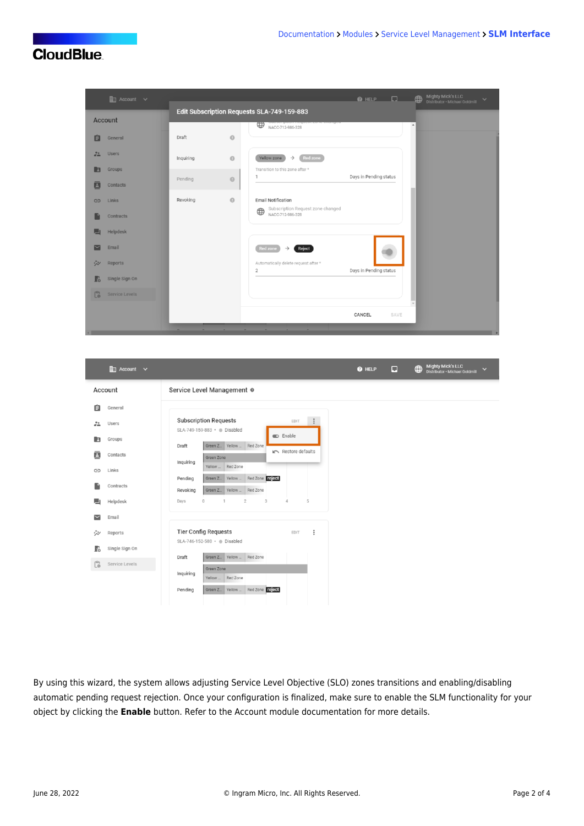

| $\lim_{x \to 0}$ Account $\vee$   |                                                                                               | <b>O</b> HELP | $\Box$ | Mighty Mick's LLC<br>Distributor · Michael Goldmill<br>$\bigoplus$ |
|-----------------------------------|-----------------------------------------------------------------------------------------------|---------------|--------|--------------------------------------------------------------------|
| Account                           | Service Level Management @                                                                    |               |        |                                                                    |
| 自<br>General                      |                                                                                               |               |        |                                                                    |
| $\frac{24}{100}$<br><b>Users</b>  | <b>Subscription Requests</b><br>$\ddot{.}$<br>EDIT<br>SLA-749-159-883 · Disabled              |               |        |                                                                    |
| Groups<br>E                       | C Enable<br>Green Z_<br>Yellow<br>Red Zone<br>Draft                                           |               |        |                                                                    |
| ē<br>Contacts                     | Restore defaults<br>Green Zone<br>Inquiring                                                   |               |        |                                                                    |
| Links<br>⊕                        | Red Zone<br>Yellow                                                                            |               |        |                                                                    |
| Contracts                         | Red Zone reject<br>Green Z_ Yellow<br>Pending<br>Red Zone<br>Yellow<br>Revoking<br>Green Z_   |               |        |                                                                    |
| Helpdesk<br>■                     | $\overline{2}$<br>$\,0\,$<br>$\overline{\mathbf{3}}$<br>5<br>Days<br>$\mathbf{1}$<br>$\Delta$ |               |        |                                                                    |
| Email<br>$\overline{\phantom{0}}$ |                                                                                               |               |        |                                                                    |
| ₩<br>Reports                      | <b>Tier Config Requests</b><br>$\vdots$<br>EDIT                                               |               |        |                                                                    |
| Single Sign On<br>F.              | SLA-746-152-588 · Disabled                                                                    |               |        |                                                                    |
| $\mathbb{C}^n$<br>Service Levels  | Green Z <sub>-</sub> Yellow  Red Zone<br>Draft                                                |               |        |                                                                    |
|                                   | Green Zone<br>Inquiring<br>Red Zone<br>Yellow                                                 |               |        |                                                                    |
|                                   | Red Zone reject<br>Pending<br>Green Z.<br>Yellow                                              |               |        |                                                                    |
|                                   |                                                                                               |               |        |                                                                    |

By using this wizard, the system allows adjusting Service Level Objective (SLO) zones transitions and enabling/disabling automatic pending request rejection. Once your configuration is finalized, make sure to enable the SLM functionality for your object by clicking the **Enable** button. Refer to the [Account module](https://connect.cloudblue.com/community/modules/account/service-level-management-settings/) documentation for more details.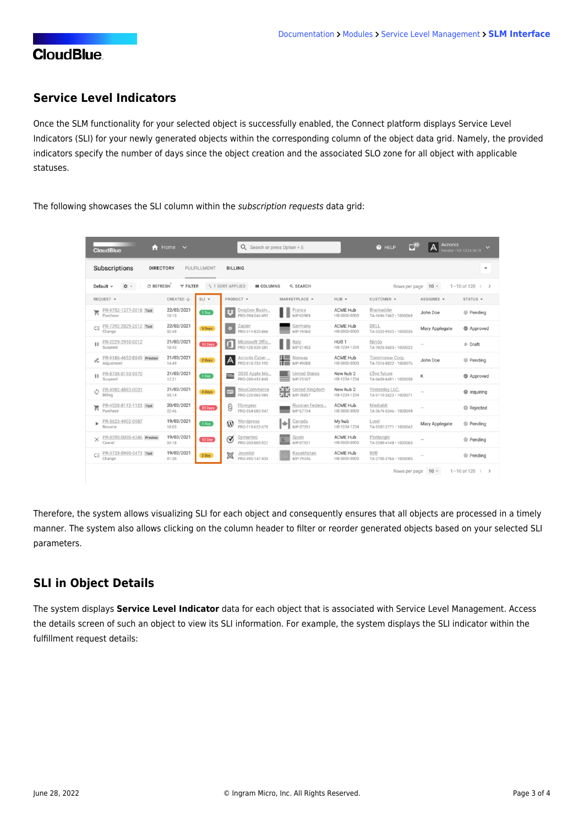#### **Service Level Indicators**

Once the SLM functionality for your selected object is successfully enabled, the Connect platform displays Service Level Indicators (SLI) for your newly generated objects within the corresponding column of the object data grid. Namely, the provided indicators specify the number of days since the object creation and the associated SLO zone for all object with applicable statuses.

The following showcases the SLI column within the subscription requests data grid:

| м<br><b>CloudBlue</b>                                                                                                                                                           | Home $\sim$                    |                                              | $Q_{\rm c}$ Search or press Option + S     |                                  | $\Box^{42}$<br><b>O</b> HELP             | <b>Acronis</b><br>A | $\checkmark$<br>Vendor · VA-1234-5678 |  |
|---------------------------------------------------------------------------------------------------------------------------------------------------------------------------------|--------------------------------|----------------------------------------------|--------------------------------------------|----------------------------------|------------------------------------------|---------------------|---------------------------------------|--|
| <b>Subscriptions</b><br><b>DIRECTORY</b>                                                                                                                                        | <b>FULFILLMENT</b>             | <b>BILLING</b>                               |                                            |                                  |                                          |                     | $\overline{\mathbf{v}}$               |  |
| <b>C REFRESH</b><br>$\equiv$ FILTER<br>1 1 SORT APPLIED<br>Default $\vee$<br>☆ -<br><b>III</b> COLUMNS<br>Q SEARCH<br>$10 -$<br>$1 - 10$ of 128 $\leftarrow$ ><br>Rows per page |                                |                                              |                                            |                                  |                                          |                     |                                       |  |
| REQUEST -                                                                                                                                                                       | CREATED \<br>$SLI$ $\star$     | PRODUCT -                                    | MARKETPLACE =                              | $HUB$ $\star$                    | CUSTOMER +                               | ASSIGNEE V          | STATUS -                              |  |
| PR-9752-1277-3018 Test<br>Ξ<br>Purchase                                                                                                                                         | 22/03/2021<br>1 Day<br>18:13   | Dropbox Busin<br>æ<br>PRD-594-246-497        | France<br>MP-63989                         | <b>ACME Hub</b><br>HB-0000-0000  | Blackadder<br>TA-1696-7462 · 1000069     | John Doe            | <sup>©</sup> Pending                  |  |
| PR-7392-2029-2012 Test<br>$C\Xi$<br>Change                                                                                                                                      | 22/03/2021<br>3 Days<br>02:49  | Zapier<br>茶<br>PRD-311-820-866               | Germany<br>MP-19560                        | <b>ACME Hub</b><br>HB-0000-0000  | DELL<br>TA-3323-9932 · 1000036           | Mary Applegate      | Approved                              |  |
| PR-2029-2910-0012<br>П<br>Suspend                                                                                                                                               | 21/03/2021<br>10 Days<br>18:43 | Microsoft Offic<br>Ο<br>PRD-128-538-281      | Italy<br>MP-51453                          | HUB <sub>1</sub><br>HB-1234-1234 | Nindo<br>TA-7025-5603 · 1000022          |                     | <b>O</b> Draft                        |  |
| PR-9186-4652-8849 Preview<br>$\mathscr{O}_{\mathbf{m}}$<br>Adjustment                                                                                                           | 21/03/2021<br>2 Days<br>14:49  | Acronis Cyber<br>A<br>PRD-818-735-192        | <b>III</b> Norway<br>╥<br>MP-49088         | <b>ACME Hub</b><br>HB-0000-0000  | Tommorow Corp.<br>TA-7314-8822 · 1000076 | John Doe            | <sup>©</sup> Pending                  |  |
| PR-8738-0193-9570<br>п<br>Suspend                                                                                                                                               | 21/03/2021<br>1 Day<br>12:21   | 2020 Apple Ma<br>PRD-209-451-849             | United States<br>MP-73107                  | New hub 2<br>HB-1234-1234        | L'Ève future<br>TA-6609-6491 · 1000058   | К                   | Approved                              |  |
| PR-4982-4883-0031<br>¢<br>Billing                                                                                                                                               | 21/03/2021<br>4 Days<br>05:14  | WooCommerce<br>WOO<br>PRD-229-963-984        | $\frac{N}{4}$ $\frac{V}{N}$ United Kingdom | New hub 2<br>HB-1234-1234        | Yesterday LLC.<br>TA-9119-3622 · 1000071 |                     | <b>O</b> Inquiring                    |  |
| PR-4528-8112-1123 Test<br>Ă<br>Purchase                                                                                                                                         | 20/03/2021<br>23 Days<br>22:46 | Θ<br>Flowgear<br>PRD-854-683-947             | Russian Federa<br>MP-67734                 | <b>ACME Hub</b><br>HB-0000-0000  | MediaMt<br>TA-3674-5346 · 1000094        |                     | <b>@</b> Rejected                     |  |
| PR-5623-4902-0987<br>٠<br>Resume                                                                                                                                                | 19/03/2021<br>1 Day<br>18:03   | Wordpress<br>$\mathbb{W}$<br>PRD-119-622-679 | Canada<br>÷<br>MP-37251                    | My hub<br>HB-1234-1234           | Lorel<br>TA-9287-2771 · 1000042          | Mary Applegate      | <sup>©</sup> Pending                  |  |
| PR-8590-0090-4346 Preview<br>$\times$<br>Cancel                                                                                                                                 | 19/03/2021<br>10 Day<br>04:18  | Symantec<br>ര<br>PRD-203-803-521             | Spain<br>MP-97531                          | <b>ACME Hub</b><br>HB-0000-0000  | Pentangle<br>TA-5389-4148 · 1000063      |                     | <sup>©</sup> Pending                  |  |
| PR-3728-8990-3473 Test<br>$C \equiv$<br>Change                                                                                                                                  | 19/03/2021<br>2 Day<br>01:30   | Joomla!<br>×<br>PRD-495-147-439              | Kazakhstan<br>MP-79246                     | <b>ACME Hub</b><br>HB-0000-0000  | <b>IMB</b><br>TA-2705-3766 · 1000085     |                     | <sup>©</sup> Pending                  |  |
| Rows per page 10 -<br>$1 - 10$ of 128 $\leftarrow$ >                                                                                                                            |                                |                                              |                                            |                                  |                                          |                     |                                       |  |

Therefore, the system allows visualizing SLI for each object and consequently ensures that all objects are processed in a timely manner. The system also allows clicking on the column header to filter or reorder generated objects based on your selected SLI parameters.

#### **SLI in Object Details**

The system displays **Service Level Indicator** data for each object that is associated with Service Level Management. Access the details screen of such an object to view its SLI information. For example, the system displays the SLI indicator within the fulfillment request details: